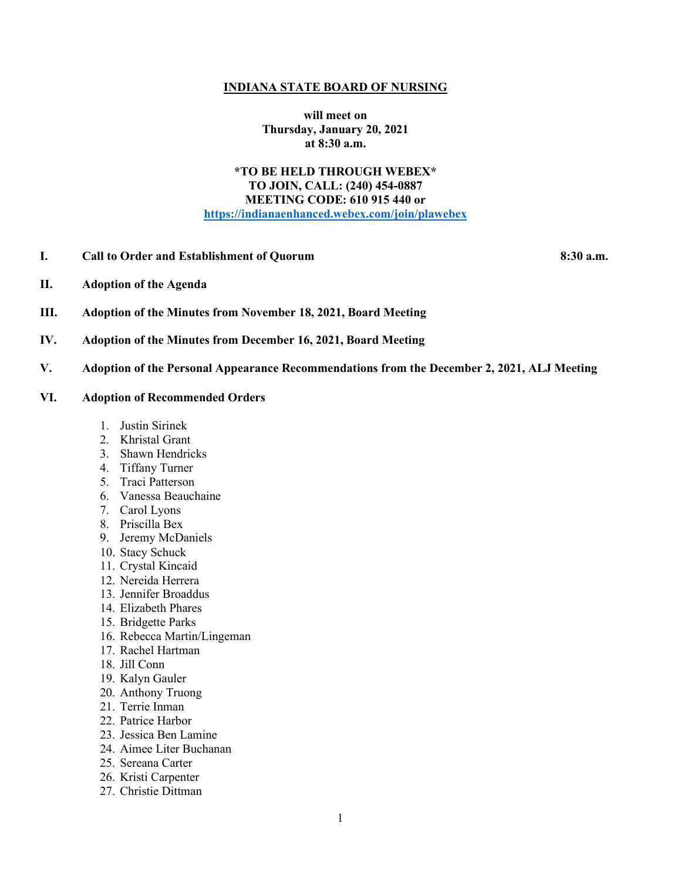#### **INDIANA STATE BOARD OF NURSING**

**will meet on Thursday, January 20, 2021 at 8:30 a.m.**

# **\*TO BE HELD THROUGH WEBEX\* TO JOIN, CALL: (240) 454-0887 MEETING CODE: 610 915 440 or [https://indianaenhanced.webex.com/join/plawebex](https://indianaenhanced.webex.com/join/PLAWebex)**

**I. Call to Order and Establishment of Quorum 8:30 a.m.** 

- **II. Adoption of the Agenda**
- **III. Adoption of the Minutes from November 18, 2021, Board Meeting**
- **IV. Adoption of the Minutes from December 16, 2021, Board Meeting**
- **V. Adoption of the Personal Appearance Recommendations from the December 2, 2021, ALJ Meeting**

#### **VI. Adoption of Recommended Orders**

- 1. Justin Sirinek
- 2. Khristal Grant
- 3. Shawn Hendricks
- 4. Tiffany Turner
- 5. Traci Patterson
- 6. Vanessa Beauchaine
- 7. Carol Lyons
- 8. Priscilla Bex
- 9. Jeremy McDaniels
- 10. Stacy Schuck
- 11. Crystal Kincaid
- 12. Nereida Herrera
- 13. Jennifer Broaddus
- 14. Elizabeth Phares
- 15. Bridgette Parks
- 16. Rebecca Martin/Lingeman
- 17. Rachel Hartman
- 18. Jill Conn
- 19. Kalyn Gauler
- 20. Anthony Truong
- 21. Terrie Inman
- 22. Patrice Harbor
- 23. Jessica Ben Lamine
- 24. Aimee Liter Buchanan
- 25. Sereana Carter
- 26. Kristi Carpenter
- 27. Christie Dittman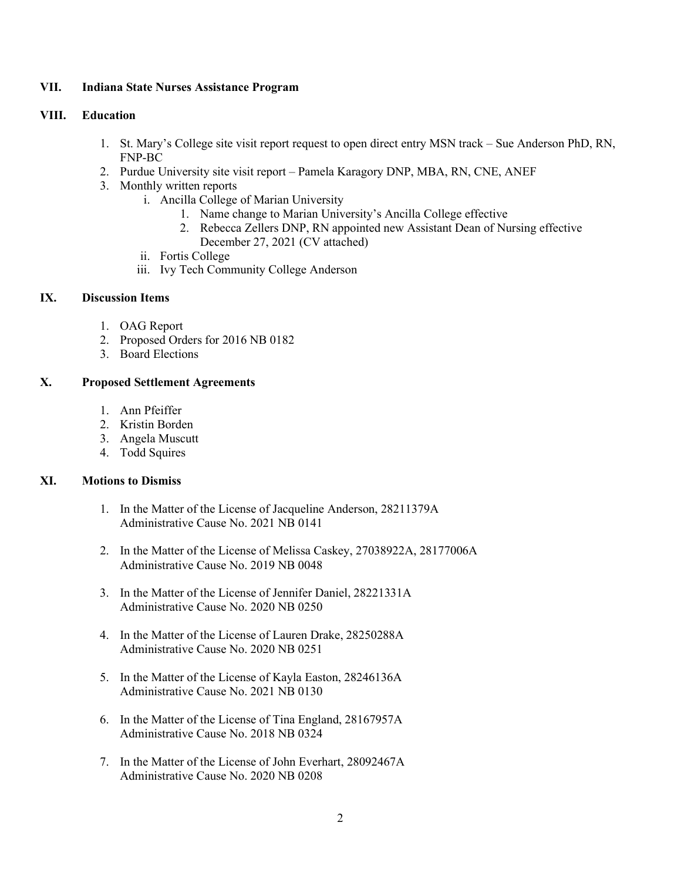# **VII. Indiana State Nurses Assistance Program**

## **VIII. Education**

- 1. St. Mary's College site visit report request to open direct entry MSN track Sue Anderson PhD, RN, FNP-BC
- 2. Purdue University site visit report Pamela Karagory DNP, MBA, RN, CNE, ANEF
- 3. Monthly written reports
	- i. Ancilla College of Marian University
		- 1. Name change to Marian University's Ancilla College effective
		- 2. Rebecca Zellers DNP, RN appointed new Assistant Dean of Nursing effective December 27, 2021 (CV attached)
	- ii. Fortis College
	- iii. Ivy Tech Community College Anderson

## **IX. Discussion Items**

- 1. OAG Report
- 2. Proposed Orders for 2016 NB 0182
- 3. Board Elections

## **X. Proposed Settlement Agreements**

- 1. Ann Pfeiffer
- 2. Kristin Borden
- 3. Angela Muscutt
- 4. Todd Squires

# **XI. Motions to Dismiss**

- 1. In the Matter of the License of Jacqueline Anderson, 28211379A Administrative Cause No. 2021 NB 0141
- 2. In the Matter of the License of Melissa Caskey, 27038922A, 28177006A Administrative Cause No. 2019 NB 0048
- 3. In the Matter of the License of Jennifer Daniel, 28221331A Administrative Cause No. 2020 NB 0250
- 4. In the Matter of the License of Lauren Drake, 28250288A Administrative Cause No. 2020 NB 0251
- 5. In the Matter of the License of Kayla Easton, 28246136A Administrative Cause No. 2021 NB 0130
- 6. In the Matter of the License of Tina England, 28167957A Administrative Cause No. 2018 NB 0324
- 7. In the Matter of the License of John Everhart, 28092467A Administrative Cause No. 2020 NB 0208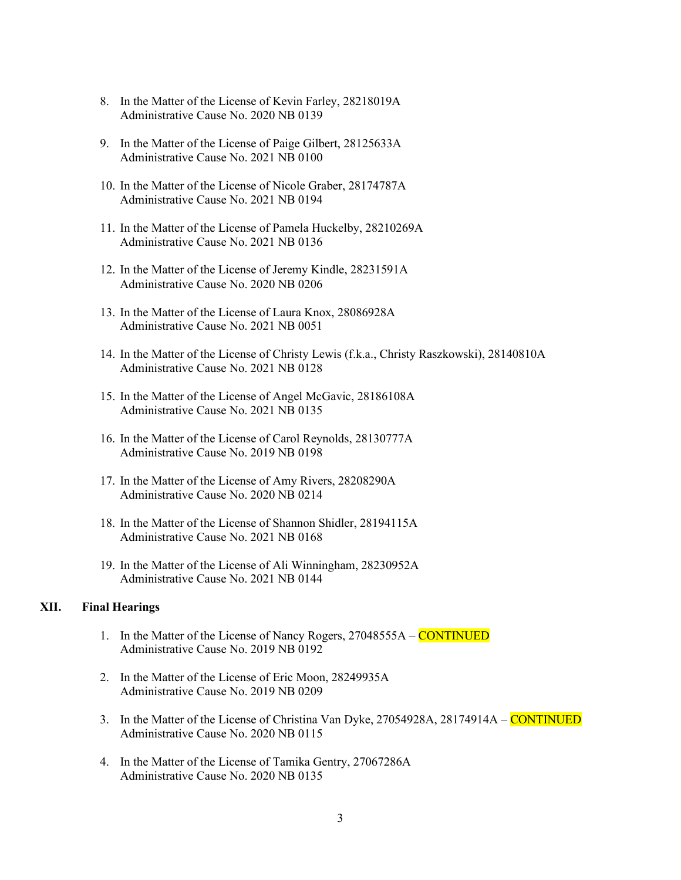- 8. In the Matter of the License of Kevin Farley, 28218019A Administrative Cause No. 2020 NB 0139
- 9. In the Matter of the License of Paige Gilbert, 28125633A Administrative Cause No. 2021 NB 0100
- 10. In the Matter of the License of Nicole Graber, 28174787A Administrative Cause No. 2021 NB 0194
- 11. In the Matter of the License of Pamela Huckelby, 28210269A Administrative Cause No. 2021 NB 0136
- 12. In the Matter of the License of Jeremy Kindle, 28231591A Administrative Cause No. 2020 NB 0206
- 13. In the Matter of the License of Laura Knox, 28086928A Administrative Cause No. 2021 NB 0051
- 14. In the Matter of the License of Christy Lewis (f.k.a., Christy Raszkowski), 28140810A Administrative Cause No. 2021 NB 0128
- 15. In the Matter of the License of Angel McGavic, 28186108A Administrative Cause No. 2021 NB 0135
- 16. In the Matter of the License of Carol Reynolds, 28130777A Administrative Cause No. 2019 NB 0198
- 17. In the Matter of the License of Amy Rivers, 28208290A Administrative Cause No. 2020 NB 0214
- 18. In the Matter of the License of Shannon Shidler, 28194115A Administrative Cause No. 2021 NB 0168
- 19. In the Matter of the License of Ali Winningham, 28230952A Administrative Cause No. 2021 NB 0144

# **XII. Final Hearings**

- 1. In the Matter of the License of Nancy Rogers, 27048555A CONTINUED Administrative Cause No. 2019 NB 0192
- 2. In the Matter of the License of Eric Moon, 28249935A Administrative Cause No. 2019 NB 0209
- 3. In the Matter of the License of Christina Van Dyke, 27054928A, 28174914A CONTINUED Administrative Cause No. 2020 NB 0115
- 4. In the Matter of the License of Tamika Gentry, 27067286A Administrative Cause No. 2020 NB 0135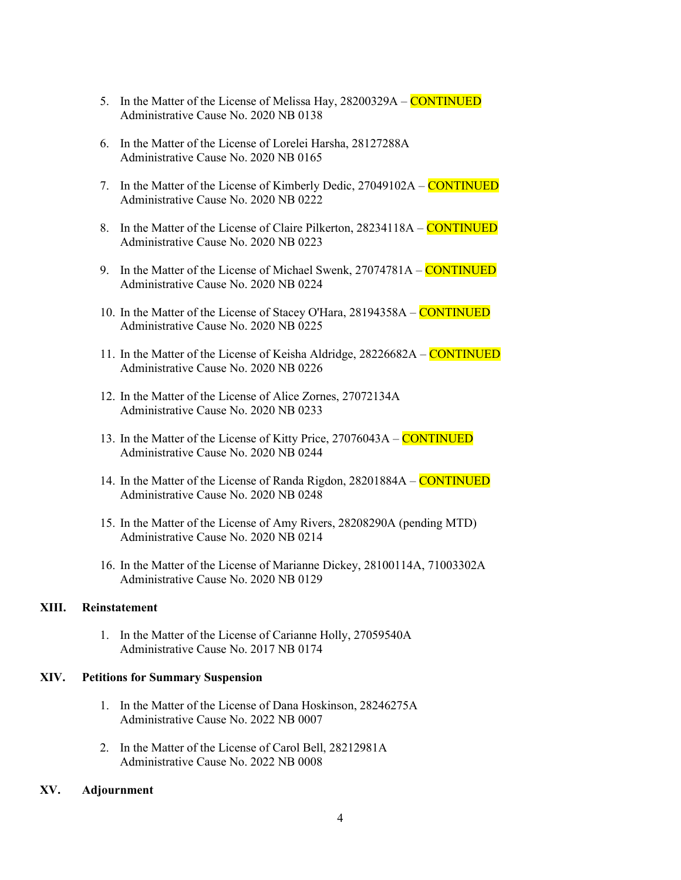- 5. In the Matter of the License of Melissa Hay, 28200329A CONTINUED Administrative Cause No. 2020 NB 0138
- 6. In the Matter of the License of Lorelei Harsha, 28127288A Administrative Cause No. 2020 NB 0165
- 7. In the Matter of the License of Kimberly Dedic, 27049102A CONTINUED Administrative Cause No. 2020 NB 0222
- 8. In the Matter of the License of Claire Pilkerton, 28234118A CONTINUED Administrative Cause No. 2020 NB 0223
- 9. In the Matter of the License of Michael Swenk, 27074781A CONTINUED Administrative Cause No. 2020 NB 0224
- 10. In the Matter of the License of Stacey O'Hara, 28194358A CONTINUED Administrative Cause No. 2020 NB 0225
- 11. In the Matter of the License of Keisha Aldridge, 28226682A CONTINUED Administrative Cause No. 2020 NB 0226
- 12. In the Matter of the License of Alice Zornes, 27072134A Administrative Cause No. 2020 NB 0233
- 13. In the Matter of the License of Kitty Price, 27076043A CONTINUED Administrative Cause No. 2020 NB 0244
- 14. In the Matter of the License of Randa Rigdon, 28201884A CONTINUED Administrative Cause No. 2020 NB 0248
- 15. In the Matter of the License of Amy Rivers, 28208290A (pending MTD) Administrative Cause No. 2020 NB 0214
- 16. In the Matter of the License of Marianne Dickey, 28100114A, 71003302A Administrative Cause No. 2020 NB 0129

### **XIII. Reinstatement**

1. In the Matter of the License of Carianne Holly, 27059540A Administrative Cause No. 2017 NB 0174

#### **XIV. Petitions for Summary Suspension**

- 1. In the Matter of the License of Dana Hoskinson, 28246275A Administrative Cause No. 2022 NB 0007
- 2. In the Matter of the License of Carol Bell, 28212981A Administrative Cause No. 2022 NB 0008

### **XV. Adjournment**